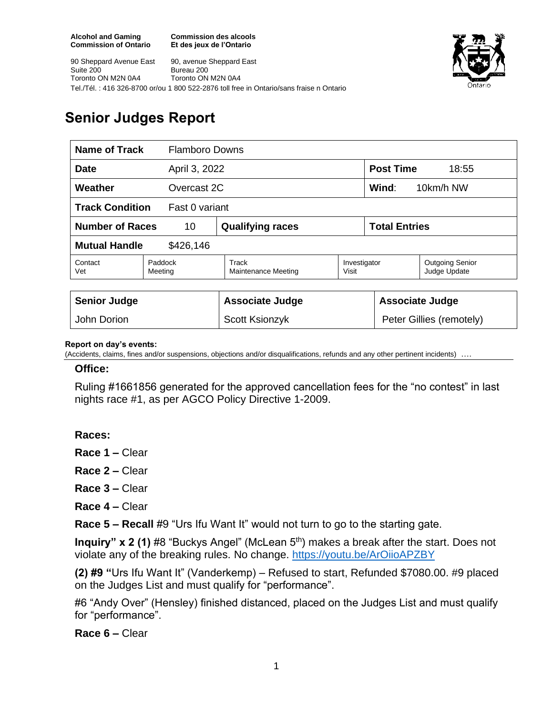**Commission des alcools Et des jeux de l'Ontario**





# **Senior Judges Report**

| Name of Track<br><b>Flamboro Downs</b>   |                    |                                     |                       |                           |                                        |
|------------------------------------------|--------------------|-------------------------------------|-----------------------|---------------------------|----------------------------------------|
| <b>Date</b><br>April 3, 2022             |                    |                                     |                       | <b>Post Time</b><br>18:55 |                                        |
| Weather<br>Overcast 2C                   |                    |                                     |                       | Wind:<br>10km/h NW        |                                        |
| <b>Track Condition</b><br>Fast 0 variant |                    |                                     |                       |                           |                                        |
| <b>Number of Races</b><br>10             |                    | <b>Qualifying races</b>             |                       | <b>Total Entries</b>      |                                        |
| <b>Mutual Handle</b><br>\$426,146        |                    |                                     |                       |                           |                                        |
| Contact<br>Vet                           | Paddock<br>Meeting | Track<br><b>Maintenance Meeting</b> | Investigator<br>Visit |                           | <b>Outgoing Senior</b><br>Judge Update |
| <b>Senior Judge</b>                      |                    | <b>Associate Judge</b>              |                       | <b>Associate Judge</b>    |                                        |
| John Dorion                              |                    | Scott Ksionzyk                      |                       | Peter Gillies (remotely)  |                                        |

#### **Report on day's events:**

(Accidents, claims, fines and/or suspensions, objections and/or disqualifications, refunds and any other pertinent incidents)

#### **Office:**

Ruling #1661856 generated for the approved cancellation fees for the "no contest" in last nights race #1, as per AGCO Policy Directive 1-2009.

### **Races:**

**Race 1 –** Clear

**Race 2 –** Clear

**Race 3 –** Clear

**Race 4 –** Clear

**Race 5 – Recall** #9 "Urs Ifu Want It" would not turn to go to the starting gate.

**Inquiry" x 2 (1)** #8 "Buckys Angel" (McLean 5<sup>th</sup>) makes a break after the start. Does not violate any of the breaking rules. No change.<https://youtu.be/ArOiioAPZBY>

**(2) #9 "**Urs Ifu Want It" (Vanderkemp) – Refused to start, Refunded \$7080.00. #9 placed on the Judges List and must qualify for "performance".

#6 "Andy Over" (Hensley) finished distanced, placed on the Judges List and must qualify for "performance".

**Race 6 –** Clear